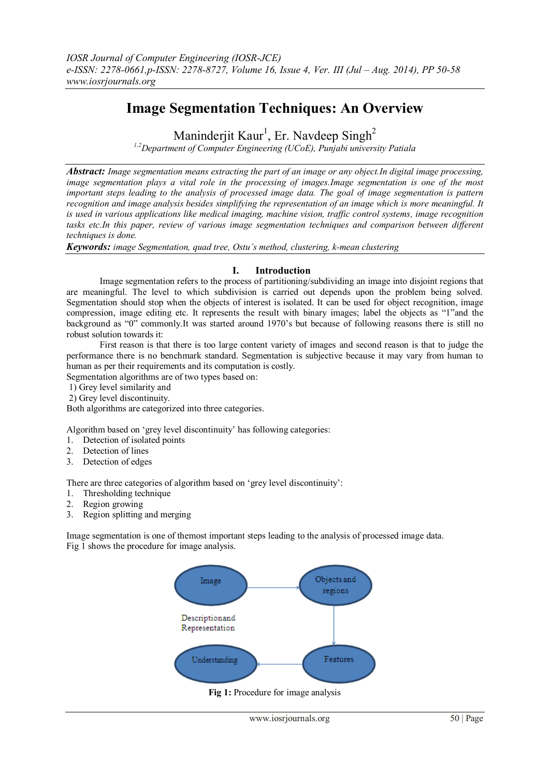# **Image Segmentation Techniques: An Overview**

Maninderjit Kaur<sup>1</sup>, Er. Navdeep Singh<sup>2</sup>

*1,2Department of Computer Engineering (UCoE), Punjabi university Patiala*

*Abstract: Image segmentation means extracting the part of an image or any object.In digital image processing, image segmentation plays a vital role in the processing of images.Image segmentation is one of the most important steps leading to the analysis of processed image data. The goal of image segmentation is pattern recognition and image analysis besides simplifying the representation of an image which is more meaningful. It is used in various applications like medical imaging, machine vision, traffic control systems, image recognition tasks etc.In this paper, review of various image segmentation techniques and comparison between different techniques is done.*

*Keywords: image Segmentation, quad tree, Ostu's method, clustering, k-mean clustering*

### **I. Introduction**

Image segmentation refers to the process of partitioning/subdividing an image into disjoint regions that are meaningful. The level to which subdivision is carried out depends upon the problem being solved. Segmentation should stop when the objects of interest is isolated. It can be used for object recognition, image compression, image editing etc. It represents the result with binary images; label the objects as "1"and the background as "0" commonly.It was started around 1970"s but because of following reasons there is still no robust solution towards it:

First reason is that there is too large content variety of images and second reason is that to judge the performance there is no benchmark standard. Segmentation is subjective because it may vary from human to human as per their requirements and its computation is costly.

Segmentation algorithms are of two types based on:

- 1) Grey level similarity and
- 2) Grey level discontinuity.

Both algorithms are categorized into three categories.

Algorithm based on "grey level discontinuity" has following categories:

- 1. Detection of isolated points
- 2. Detection of lines
- 3. Detection of edges

There are three categories of algorithm based on 'grey level discontinuity':

- 1. Thresholding technique
- 2. Region growing
- 3. Region splitting and merging

Image segmentation is one of themost important steps leading to the analysis of processed image data. Fig 1 shows the procedure for image analysis.

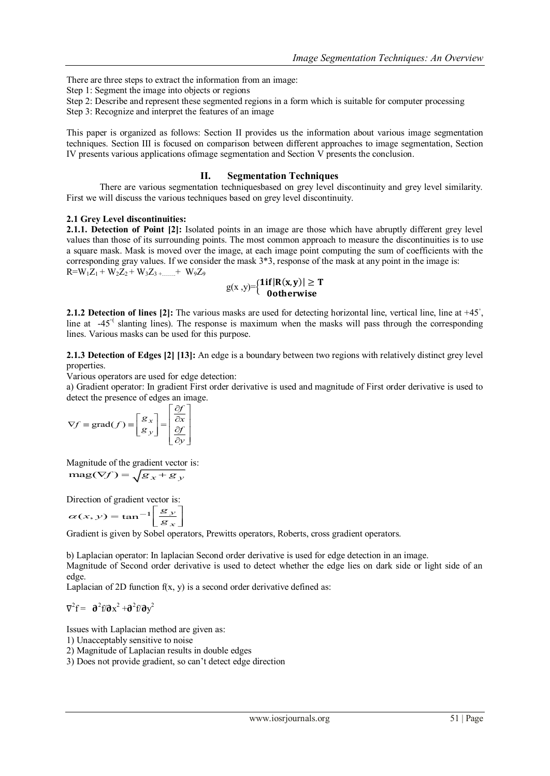There are three steps to extract the information from an image:

- Step 1: Segment the image into objects or regions
- Step 2: Describe and represent these segmented regions in a form which is suitable for computer processing
- Step 3: Recognize and interpret the features of an image

This paper is organized as follows: Section II provides us the information about various image segmentation techniques. Section III is focused on comparison between different approaches to image segmentation, Section IV presents various applications ofimage segmentation and Section V presents the conclusion.

#### **II. Segmentation Techniques**

There are various segmentation techniquesbased on grey level discontinuity and grey level similarity. First we will discuss the various techniques based on grey level discontinuity.

#### **2.1 Grey Level discontinuities:**

**2.1.1. Detection of Point [2]:** Isolated points in an image are those which have abruptly different grey level values than those of its surrounding points. The most common approach to measure the discontinuities is to use a square mask. Mask is moved over the image, at each image point computing the sum of coefficients with the corresponding gray values. If we consider the mask  $3*3$ , response of the mask at any point in the image is:  $R=W_1Z_1+W_2Z_2+W_3Z_3+...+W_9Z_9$ 

$$
g(x,y)=\begin{cases} 1if|R(x,y)|\geq T\\ 0otherwise \end{cases}
$$

2.1.2 Detection of lines [2]: The various masks are used for detecting horizontal line, vertical line, line at +45<sup>°</sup>, line at -45<sup>°</sup> slanting lines). The response is maximum when the masks will pass through the corresponding lines. Various masks can be used for this purpose.

**2.1.3 Detection of Edges [2] [13]:** An edge is a boundary between two regions with relatively distinct grey level properties.

Various operators are used for edge detection:

a) Gradient operator: In gradient First order derivative is used and magnitude of First order derivative is used to detect the presence of edges an image.

$$
\nabla f \equiv \text{grad}(f) \equiv \begin{bmatrix} g_x \\ g_y \end{bmatrix} = \begin{bmatrix} \frac{\partial f}{\partial x} \\ \frac{\partial f}{\partial y} \end{bmatrix}
$$

Magnitude of the gradient vector is:  $\text{mag}(\nabla f) = \sqrt{g_x + g_y}$ 

Direction of gradient vector is:  
\n
$$
\alpha(x, y) = \tan^{-1} \left[ \frac{g_y}{g_x} \right]
$$
\nGradient is given by Schel operator

Gradient is given by Sobel operators, Prewitts operators, Roberts, cross gradient operators.

b) Laplacian operator: In laplacian Second order derivative is used for edge detection in an image. Magnitude of Second order derivative is used to detect whether the edge lies on dark side or light side of an edge.

Laplacian of 2D function  $f(x, y)$  is a second order derivative defined as:

$$
\nabla^2 f = \partial^2 f / \partial x^2 + \partial^2 f / \partial y^2
$$

Issues with Laplacian method are given as:

1) Unacceptably sensitive to noise

2) Magnitude of Laplacian results in double edges

3) Does not provide gradient, so can"t detect edge direction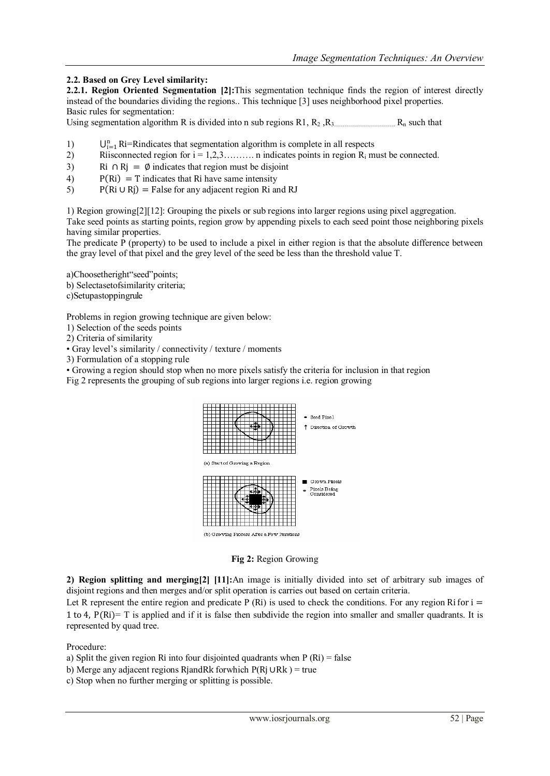# **2.2. Based on Grey Level similarity:**

**2.2.1. Region Oriented Segmentation [2]:**This segmentation technique finds the region of interest directly instead of the boundaries dividing the regions.. This technique [3] uses neighborhood pixel properties. Basic rules for segmentation:

Using segmentation algorithm R is divided into n sub regions R1,  $R_2$ ,  $R_3$   $R_1$  such that

- 1)  $U_{i=1}^n$  Ri=Rindicates that segmentation algorithm is complete in all respects
- 2) Riisconnected region for  $i = 1, 2, 3, \ldots$  n indicates points in region  $R_i$  must be connected.
- 3) Ri ∩ Rj =  $\emptyset$  indicates that region must be disjoint
- 4)  $P(Ri) = T$  indicates that Ri have same intensity
- 5) P(Ri ∪ Rj) = False for any adjacent region Ri and RJ

1) Region growing[2][12]: Grouping the pixels or sub regions into larger regions using pixel aggregation.

Take seed points as starting points, region grow by appending pixels to each seed point those neighboring pixels having similar properties.

The predicate P (property) to be used to include a pixel in either region is that the absolute difference between the gray level of that pixel and the grey level of the seed be less than the threshold value T.

a)Choosetheright"seed"points;

b) Selectasetofsimilarity criteria;

c)Setupastoppingrule

Problems in region growing technique are given below:

1) Selection of the seeds points

2) Criteria of similarity

• Gray level's similarity / connectivity / texture / moments

3) Formulation of a stopping rule

• Growing a region should stop when no more pixels satisfy the criteria for inclusion in that region Fig 2 represents the grouping of sub regions into larger regions i.e. region growing



**Fig 2:** Region Growing

**2) Region splitting and merging[2] [11]:**An image is initially divided into set of arbitrary sub images of disjoint regions and then merges and/or split operation is carries out based on certain criteria.

Let R represent the entire region and predicate P (Ri) is used to check the conditions. For any region Ri for  $i =$ 1 to 4, P(Ri)= T is applied and if it is false then subdivide the region into smaller and smaller quadrants. It is represented by quad tree.

Procedure:

- a) Split the given region Ri into four disjointed quadrants when  $P(Ri) = false$
- b) Merge any adjacent regions RjandRk forwhich P(Rj ∪Rk ) = true
- c) Stop when no further merging or splitting is possible.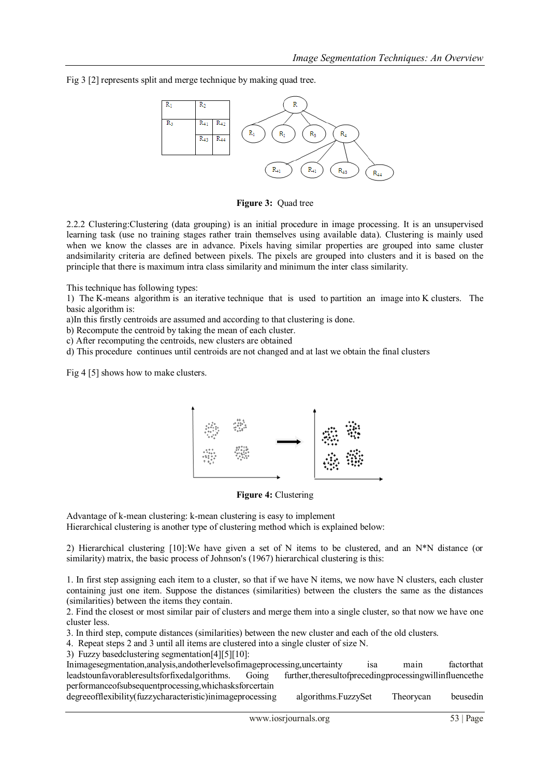Fig 3 [2] represents split and merge technique by making quad tree.



**Figure 3:** Quad tree

2.2.2 Clustering:Clustering (data grouping) is an initial procedure in image processing. It is an unsupervised learning task (use no training stages rather train themselves using available data). Clustering is mainly used when we know the classes are in advance. Pixels having similar properties are grouped into same cluster andsimilarity criteria are defined between pixels. The pixels are grouped into clusters and it is based on the principle that there is maximum intra class similarity and minimum the inter class similarity.

This technique has following types:

1) The [K-means algorithm](http://en.wikipedia.org/wiki/K-means_algorithm) is an [iterative](http://en.wikipedia.org/wiki/Iterative) technique that is used to [partition an image](http://en.wikipedia.org/wiki/Cluster_analysis) into K clusters. The basic [algorithm](http://en.wikipedia.org/wiki/Algorithm) is:

a)In this firstly centroids are assumed and according to that clustering is done.

b) Recompute the centroid by taking the mean of each cluster.

c) After recomputing the centroids, new clusters are obtained

d) This procedure continues until centroids are not changed and at last we obtain the final clusters

Fig 4 [5] shows how to make clusters.



**Figure 4:** Clustering

Advantage of k-mean clustering: k-mean clustering is easy to implement Hierarchical clustering is another type of clustering method which is explained below:

2) Hierarchical clustering [10]:We have given a set of N items to be clustered, and an N\*N distance (or similarity) matrix, the basic process of Johnson's (1967) hierarchical clustering is this:

1. In first step assigning each item to a cluster, so that if we have N items, we now have N clusters, each cluster containing just one item. Suppose the distances (similarities) between the clusters the same as the distances (similarities) between the items they contain.

2. Find the closest or most similar pair of clusters and merge them into a single cluster, so that now we have one cluster less.

3. In third step, compute distances (similarities) between the new cluster and each of the old clusters.

4. Repeat steps 2 and 3 until all items are clustered into a single cluster of size N.

3) Fuzzy basedclustering segmentation[4][5][10]:

Inimagesegmentation,analysis,andotherlevelsofimageprocessing,uncertainty isa main factorthat leadstounfavorableresultsforfixedalgorithms. Going further,theresultofprecedingprocessingwillinfluencethe performanceofsubsequentprocessing,whichasksforcertain

degreeofflexibility(fuzzycharacteristic)inimageprocessing algorithms.FuzzySet Theorycan beusedin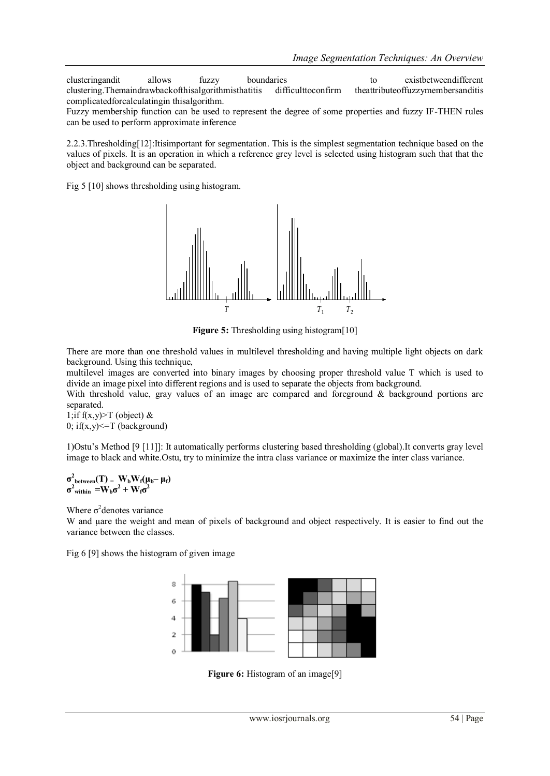clusteringandit allows fuzzy boundaries to existbetweendifferent clustering.Themaindrawbackofthisalgorithmisthatitis difficulttoconfirm theattributeoffuzzymembersanditis complicatedforcalculatingin thisalgorithm.

Fuzzy membership function can be used to represent the degree of some properties and fuzzy IF-THEN rules can be used to perform approximate inference

2.2.3.Thresholding[12]:Itisimportant for segmentation. This is the simplest segmentation technique based on the values of pixels. It is an operation in which a reference grey level is selected using histogram such that that the object and background can be separated.

Fig 5 [10] shows thresholding using histogram.



**Figure 5:** Thresholding using histogram[10]

There are more than one threshold values in multilevel thresholding and having multiple light objects on dark background. Using this technique,

multilevel images are converted into binary images by choosing proper threshold value T which is used to divide an image pixel into different regions and is used to separate the objects from background.

With threshold value, gray values of an image are compared and foreground & background portions are separated.

1;if f(x,y) $\geq$ T (object) & 0; if(x,y)  $\leq$  T (background)

1)Ostu"s Method [9 [11]]: It automatically performs clustering based thresholding (global).It converts gray level image to black and white.Ostu, try to minimize the intra class variance or maximize the inter class variance.

## $\sigma^2$ **between** $(T) = W_b W_f(\mu_b - \mu_f)$  $\sigma^2$ <sub>within</sub>  $= W_b \sigma^2 + W_f \sigma^2$

Where  $\sigma^2$  denotes variance

W and uare the weight and mean of pixels of background and object respectively. It is easier to find out the variance between the classes.

Fig 6 [9] shows the histogram of given image



**Figure 6:** Histogram of an image<sup>[9]</sup>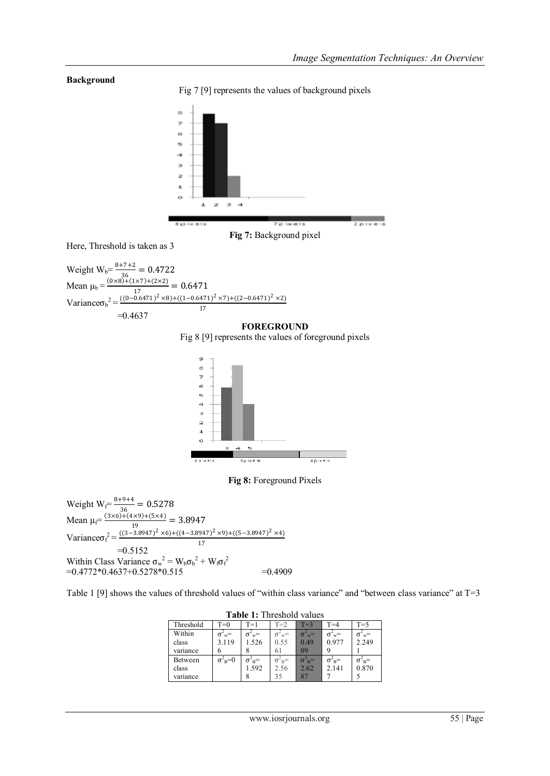## **Background**

Fig 7 [9] represents the values of background pixels



Here, Threshold is taken as 3

Weight  $W_b = \frac{8+7+2}{36} = 0.4722$ 36 Mean  $\mu_b = \frac{(0 \times 8) + (1 \times 7) + (2 \times 2)}{17} = 0.6471$ 17 Variance $\sigma_b^2 = \frac{((0-0.6471)^2 \times 8) + ((1-0.6471)^2 \times 7) + ((2-0.6471)^2 \times 2)}{17}$ 17  $=0.4637$ 

#### **FOREGROUND**

Fig 8 [9] represents the values of foreground pixels



**Fig 8:** Foreground Pixels

Weight  $W_f = \frac{8+9+4}{36} = 0.5278$ 36 Mean  $\mu_f = \frac{(3 \times 6) + (4 \times 9) + (5 \times 4)}{10} = 3.8947$ 19 Variance $\sigma_f^2 = \frac{((3-3.8947)^2 \times 6) + ((4-3.8947)^2 \times 9) + ((5-3.8947)^2 \times 4)}{17}$ 17  $=0.5152$ Within Class Variance  $\sigma_w^2 = W_b {\sigma_b}^2 + W_f {\sigma_f}^2$  $= 0.4772 \times 0.4637 + 0.5278 \times 0.515$   $= 0.4909$ 

Table 1 [9] shows the values of threshold values of "within class variance" and "between class variance" at T=3

| <b>Table 1:</b> Threshold values |                        |                     |                  |                      |                       |                           |  |
|----------------------------------|------------------------|---------------------|------------------|----------------------|-----------------------|---------------------------|--|
| Threshold                        | $T=0$                  | $T=1$               | $T=2$            | $T=3$                | $T = 4$               | $T=5$                     |  |
| Within                           | $\cdot$ w <sup>=</sup> | $\sigma_{w} =$      | $\sigma_{w}$ =   | $\sigma_{w}^2$       | $\sigma_{\text{w}} =$ | $\sigma_{w} =$            |  |
| class                            | 3.119                  | 1.526               | 0.55             | 0.49                 | 0.977                 | 2.249                     |  |
| variance                         |                        |                     | 61               | 09                   |                       |                           |  |
| Between                          | $\sigma_{\rm B}^2=0$   | $\sigma_{B}^{\sim}$ | $\sigma_{B}^2$ = | $\sigma_{\rm B}^2$ = | $\sigma_{B}^{\sim}$   |                           |  |
| class                            |                        | 1.592               | 2.56             | 2.62                 | 2.141                 | $\sigma_{B}^2$ =<br>0.870 |  |
| variance                         |                        |                     | 35               | 87                   |                       |                           |  |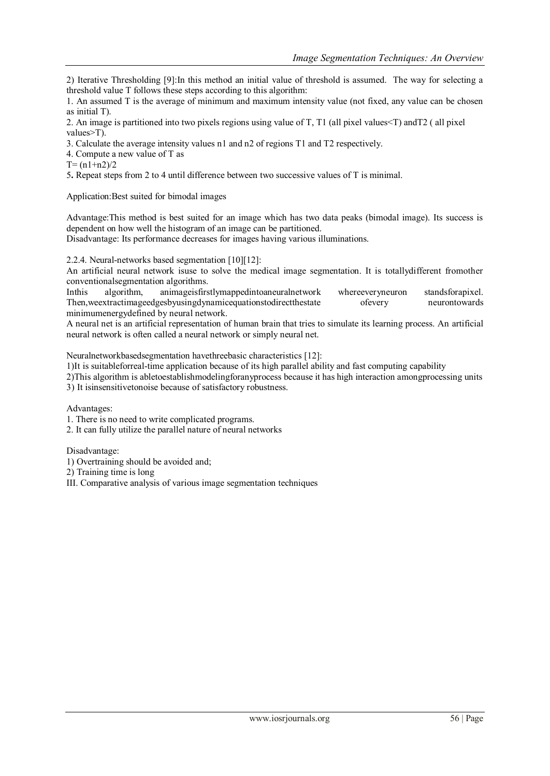2) Iterative Thresholding [9]:In this method an initial value of threshold is assumed. The way for selecting a threshold value T follows these steps according to this algorithm:

1. An assumed T is the average of minimum and maximum intensity value (not fixed, any value can be chosen as initial T).

2. An image is partitioned into two pixels regions using value of T, T1 (all pixel values<T) andT2 ( all pixel values>T).

3. Calculate the average intensity values n1 and n2 of regions T1 and T2 respectively.

4. Compute a new value of T as

 $T = (n1+n2)/2$ 

5**.** Repeat steps from 2 to 4 until difference between two successive values of T is minimal.

Application:Best suited for bimodal images

Advantage:This method is best suited for an image which has two data peaks (bimodal image). Its success is dependent on how well the histogram of an image can be partitioned.

Disadvantage: Its performance decreases for images having various illuminations.

2.2.4. Neural-networks based segmentation [10][12]:

An artificial neural network isuse to solve the medical image segmentation. It is totallydifferent fromother conventionalsegmentation algorithms.

Inthis algorithm, animageisfirstlymappedintoaneuralnetwork whereeveryneuron standsforapixel. Then,weextractimageedgesbyusingdynamicequationstodirectthestate ofevery neurontowards minimumenergydefined by neural network.

A neural net is an artificial representation of human brain that tries to simulate its learning process. An artificial neural network is often called a neural network or simply neural net.

Neuralnetworkbasedsegmentation havethreebasic characteristics [12]:

1)It is suitableforreal-time application because of its high parallel ability and fast computing capability

2)This algorithm is abletoestablishmodelingforanyprocess because it has high interaction amongprocessing units 3) It isinsensitivetonoise because of satisfactory robustness.

Advantages:

1. There is no need to write complicated programs.

2. It can fully utilize the parallel nature of neural networks

Disadvantage:

1) Overtraining should be avoided and;

2) Training time is long

III. Comparative analysis of various image segmentation techniques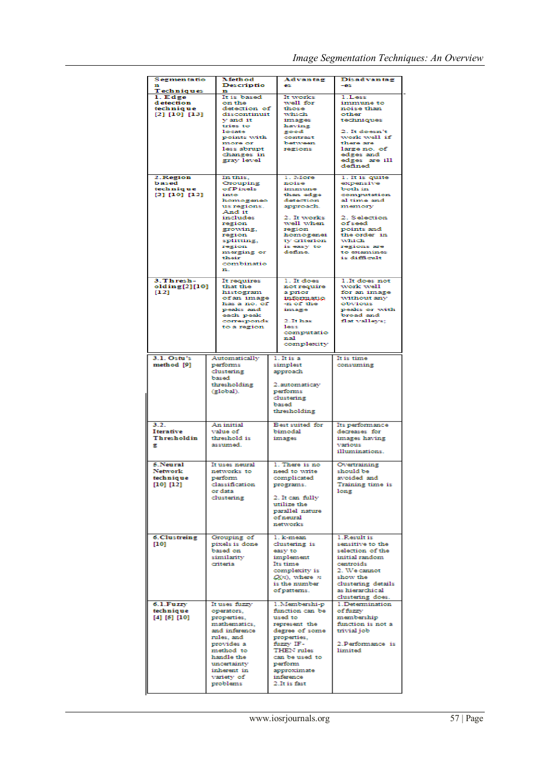| <b>Segmentatio</b><br>n                                           | Method<br><b>Descriptio</b>                                                                                                                                                                    | Advantag<br>es.                                                                                                                                                                                     | <b>Disadvantag</b><br>-es                                                                                                                                                                     |  |
|-------------------------------------------------------------------|------------------------------------------------------------------------------------------------------------------------------------------------------------------------------------------------|-----------------------------------------------------------------------------------------------------------------------------------------------------------------------------------------------------|-----------------------------------------------------------------------------------------------------------------------------------------------------------------------------------------------|--|
| Techniques<br>1. Edge<br>d etection<br>technique<br>[2] [10] [13] | n<br>It is based<br>on the<br>detection of<br>discontinuit<br>v and it<br>tries to<br>locate<br>points with<br>more or<br>less abrupt<br>changes in<br>gray level                              | It works<br>well for<br>those<br>which<br>images<br>having<br>good<br>contrast<br>between<br>regions                                                                                                | 1.Less<br>immune to<br>noise than<br>other<br>techniques<br>2. It doesn't<br>work well if<br>there are<br>large no. of<br>edges and<br>edges are ill<br>defined                               |  |
| 2. Region<br>based<br>technique<br>[2] [10] [12]                  | In this,<br>Grouping<br>of Pixels<br>into<br>homogeneo<br>us regions.<br>And it<br>includes<br>region<br>growing,<br>region<br>splitting,<br>region<br>merging or<br>their<br>combinatio<br>n. | 1. More<br>noise<br>immune<br>than edge<br>detection<br>approach.<br>2. It works<br>well when<br>region<br>homogenei<br>ty criterion<br>is easy to<br>define.                                       | 1. It is quite<br>expensive<br>both in<br>computation<br>al time and<br>memory<br>2. Selection<br>ofseed<br>points and<br>the order in<br>which<br>regions are<br>to examines<br>is difficult |  |
| 3. Thresh-<br>olding[2][10]<br>[12]                               | It requires<br>that the<br>histogram<br>of an image<br>has a no. of<br>peaks and<br>each peak<br>corresponds<br>to a region                                                                    | 1. It does<br>not require<br>a prior<br>informatio<br>-n of the<br>image<br>$2.$ It has<br>less<br>computatio<br>nal<br>complexity                                                                  | 1. It does not<br>work well<br>for an image<br>without any<br>obvious<br>peaks or with<br>broad and<br>flat valleys;                                                                          |  |
| 3.1. Ostu's<br>method [9]                                         | Automatically<br>performs<br>clustering<br>based<br>thresholding<br>(global).                                                                                                                  | 1. It is a<br>simplest<br>approach<br>2.automaticay<br>performs<br>clustering<br>based<br>thresholding                                                                                              | It is time<br>consuming                                                                                                                                                                       |  |
| 3.2.<br>Iterative<br>Thresholdin<br>в                             | An initial<br>value of<br>threshold is<br>assumed.                                                                                                                                             | Best suited for<br>bimodal<br>images                                                                                                                                                                | Its performance<br>decreases for<br>images having<br>various<br>illuminations.                                                                                                                |  |
| 5.Neural<br>Network<br><b>technique</b><br>[10] [12]              | It uses neural<br>networks to<br>perform<br>classification<br>or data<br>clustering                                                                                                            | 1. There is no<br>need to write<br>complicated<br>programs.<br>2. It can fully<br>utilize the<br>parallel nature<br>of neural<br>networks                                                           | Overtraining<br>should be<br>avoided and<br>Training time is<br>long                                                                                                                          |  |
| 6. Clustreing<br>[10]                                             | Grouping of<br>pixels is done<br>based on<br>similarity<br>criteria                                                                                                                            | 1. k-mean<br>clustering is<br>easy to<br>implement<br>Its time<br>complexity is<br>$Q(n)$ , where $n$<br>is the number<br>of patterns.                                                              | 1. Result is<br>sensitive to the<br>selection of the<br>initial random<br>centroids<br>2. We cannot<br>show the<br>clustering details<br>as hierarchic al<br>clustering does.                 |  |
| 6.1.Fuzzy<br>technique<br>[4] [5] [10]                            | It uses fuzzy<br>operators,<br>properties.<br>mathematics.<br>and inference<br>rules, and<br>provides a<br>method to<br>handle the<br>uncertainty<br>inherent in<br>variety of<br>problems     | 1. Membershi-p<br>function can be<br>used to<br>represent the<br>degree of some<br>properties,<br>fuzzy IF-<br>THEN rules<br>can be used to<br>perform<br>approximate<br>inference<br>2. It is fast | 1. Determination<br>of fuzzy<br>membership<br>function is not a<br>trivial job<br>2.Performance is<br>limited                                                                                 |  |